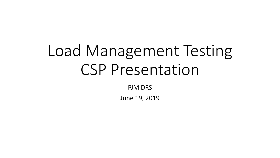# Load Management Testing CSP Presentation

PJM DRS

June 19, 2019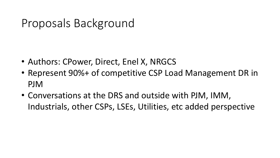## Proposals Background

- Authors: CPower, Direct, Enel X, NRGCS
- Represent 90%+ of competitive CSP Load Management DR in PJM
- Conversations at the DRS and outside with PJM, IMM, Industrials, other CSPs, LSEs, Utilities, etc added perspective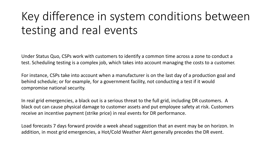# Key difference in system conditions between testing and real events

Under Status Quo, CSPs work with customers to identify a common time across a zone to conduct a test. Scheduling testing is a complex job, which takes into account managing the costs to a customer.

For instance, CSPs take into account when a manufacturer is on the last day of a production goal and behind schedule; or for example, for a government facility, not conducting a test if it would compromise national security.

In real grid emergencies, a black out is a serious threat to the full grid, including DR customers. A black out can cause physical damage to customer assets and put employee safety at risk. Customers receive an incentive payment (strike price) in real events for DR performance.

Load forecasts 7 days forward provide a week ahead suggestion that an event may be on horizon. In addition, in most grid emergencies, a Hot/Cold Weather Alert generally precedes the DR event.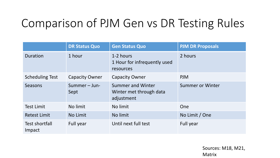# Comparison of PJM Gen vs DR Testing Rules

|                          | <b>DR Status Quo</b>  | <b>Gen Status Quo</b>                                             | <b>PJM DR Proposals</b> |
|--------------------------|-----------------------|-------------------------------------------------------------------|-------------------------|
| <b>Duration</b>          | 1 hour                | 1-2 hours<br>1 Hour for infrequently used<br>resources            | 2 hours                 |
| <b>Scheduling Test</b>   | <b>Capacity Owner</b> | <b>Capacity Owner</b>                                             | <b>PJM</b>              |
| Seasons                  | Summer - Jun-<br>Sept | <b>Summer and Winter</b><br>Winter met through data<br>adjustment | Summer or Winter        |
| <b>Test Limit</b>        | No limit              | No limit                                                          | One                     |
| <b>Retest Limit</b>      | No Limit              | No limit                                                          | No Limit / One          |
| Test shortfall<br>Impact | Full year             | Until next full test                                              | Full year               |

Sources: M18, M21, Matrix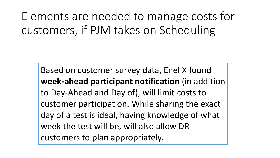Elements are needed to manage costs for customers, if PJM takes on Scheduling

Based on customer survey data, Enel X found **week-ahead participant notification** (in addition to Day-Ahead and Day of), will limit costs to customer participation. While sharing the exact day of a test is ideal, having knowledge of what week the test will be, will also allow DR customers to plan appropriately.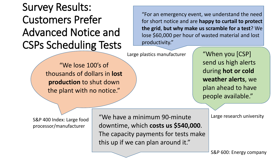#### Survey Results: Customers Prefer Advanced Notice and CSPs Scheduling Tests

"For an emergency event, we understand the need for short notice and are **happy to curtail to protect the grid**, **but why make us scramble for a test**? We lose \$60,000 per hour of wasted material and lost productivity."

Large plastics manufacturer

"We lose 100's of thousands of dollars in **lost production** to shut down the plant with no notice."

"When you [CSP] send us high alerts during **hot or cold weather alerts**, we plan ahead to have people available."

S&P 400 Index: Large food processor/manufacturer

"We have a minimum 90-minute downtime, which **costs us \$540,000**. The capacity payments for tests make this up if we can plan around it."

Large research university

S&P 600: Energy company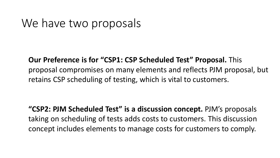#### We have two proposals

**Our Preference is for "CSP1: CSP Scheduled Test" Proposal.** This proposal compromises on many elements and reflects PJM proposal, but retains CSP scheduling of testing, which is vital to customers.

**"CSP2: PJM Scheduled Test" is a discussion concept.** PJM's proposals taking on scheduling of tests adds costs to customers. This discussion concept includes elements to manage costs for customers to comply.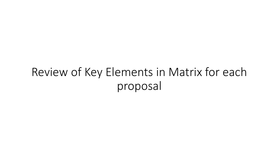## Review of Key Elements in Matrix for each proposal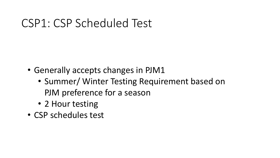#### CSP1: CSP Scheduled Test

- Generally accepts changes in PJM1
	- Summer/ Winter Testing Requirement based on PJM preference for a season
	- 2 Hour testing
- CSP schedules test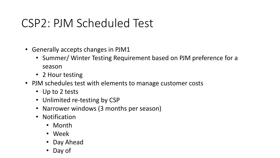## CSP2: PJM Scheduled Test

- Generally accepts changes in PJM1
	- Summer/ Winter Testing Requirement based on PJM preference for a season
	- 2 Hour testing
- PJM schedules test with elements to manage customer costs
	- Up to 2 tests
	- Unlimited re-testing by CSP
	- Narrower windows (3 months per season)
	- Notification
		- Month
		- Week
		- Day Ahead
		- Day of